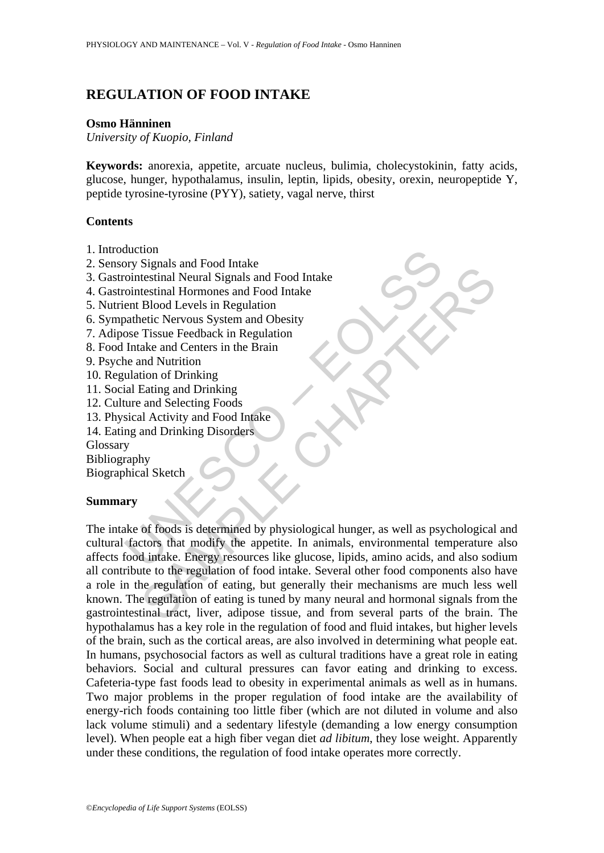# **REGULATION OF FOOD INTAKE**

#### **Osmo Hänninen**

*University of Kuopio, Finland* 

**Keywords:** anorexia, appetite, arcuate nucleus, bulimia, cholecystokinin, fatty acids, glucose, hunger, hypothalamus, insulin, leptin, lipids, obesity, orexin, neuropeptide Y, peptide tyrosine-tyrosine (PYY), satiety, vagal nerve, thirst

## **Contents**

- 1. Introduction
- 2. Sensory Signals and Food Intake
- 3. Gastrointestinal Neural Signals and Food Intake
- 4. Gastrointestinal Hormones and Food Intake
- 5. Nutrient Blood Levels in Regulation
- 6. Sympathetic Nervous System and Obesity
- 7. Adipose Tissue Feedback in Regulation
- 8. Food Intake and Centers in the Brain
- 9. Psyche and Nutrition
- 10. Regulation of Drinking
- 11. Social Eating and Drinking
- 12. Culture and Selecting Foods
- 13. Physical Activity and Food Intake
- 14. Eating and Drinking Disorders

Glossary

Bibliography

Biographical Sketch

## **Summary**

Stromagnal and Food Intake<br>
The cointestinal Neural Signals and Food Intake<br>
cointestinal Hormones and Food Intake<br>
ent Blood Levels in Regulation<br>
anahetic Nervous System and Obesity<br>
ose Tissue Feedback in Regulation<br>
th Signals and Yood make<br>testinal Neural Signals and Food Intake<br>testinal Hormones and Food Intake<br>etch Nervas System and Obesity<br>Tissue Feedback in Regulation<br>ake and Centers in the Brain<br>tion of Drinking<br>Eating and Drinking The intake of foods is determined by physiological hunger, as well as psychological and cultural factors that modify the appetite. In animals, environmental temperature also affects food intake. Energy resources like glucose, lipids, amino acids, and also sodium all contribute to the regulation of food intake. Several other food components also have a role in the regulation of eating, but generally their mechanisms are much less well known. The regulation of eating is tuned by many neural and hormonal signals from the gastrointestinal tract, liver, adipose tissue, and from several parts of the brain. The hypothalamus has a key role in the regulation of food and fluid intakes, but higher levels of the brain, such as the cortical areas, are also involved in determining what people eat. In humans, psychosocial factors as well as cultural traditions have a great role in eating behaviors. Social and cultural pressures can favor eating and drinking to excess. Cafeteria-type fast foods lead to obesity in experimental animals as well as in humans. Two major problems in the proper regulation of food intake are the availability of energy-rich foods containing too little fiber (which are not diluted in volume and also lack volume stimuli) and a sedentary lifestyle (demanding a low energy consumption level). When people eat a high fiber vegan diet *ad libitum*, they lose weight. Apparently under these conditions, the regulation of food intake operates more correctly.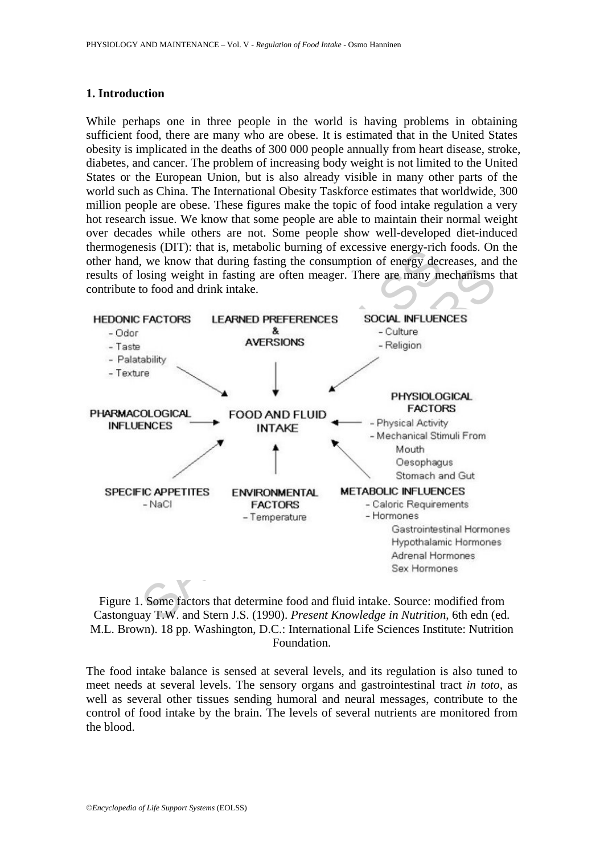## **1. Introduction**

While perhaps one in three people in the world is having problems in obtaining sufficient food, there are many who are obese. It is estimated that in the United States obesity is implicated in the deaths of 300 000 people annually from heart disease, stroke, diabetes, and cancer. The problem of increasing body weight is not limited to the United States or the European Union, but is also already visible in many other parts of the world such as China. The International Obesity Taskforce estimates that worldwide, 300 million people are obese. These figures make the topic of food intake regulation a very hot research issue. We know that some people are able to maintain their normal weight over decades while others are not. Some people show well-developed diet-induced thermogenesis (DIT): that is, metabolic burning of excessive energy-rich foods. On the other hand, we know that during fasting the consumption of energy decreases, and the results of losing weight in fasting are often meager. There are many mechanisms that contribute to food and drink intake.



Figure 1. Some factors that determine food and fluid intake. Source: modified from Castonguay T.W. and Stern J.S. (1990). *Present Knowledge in Nutrition*, 6th edn (ed. M.L. Brown). 18 pp. Washington, D.C.: International Life Sciences Institute: Nutrition Foundation.

The food intake balance is sensed at several levels, and its regulation is also tuned to meet needs at several levels. The sensory organs and gastrointestinal tract *in toto,* as well as several other tissues sending humoral and neural messages, contribute to the control of food intake by the brain. The levels of several nutrients are monitored from the blood.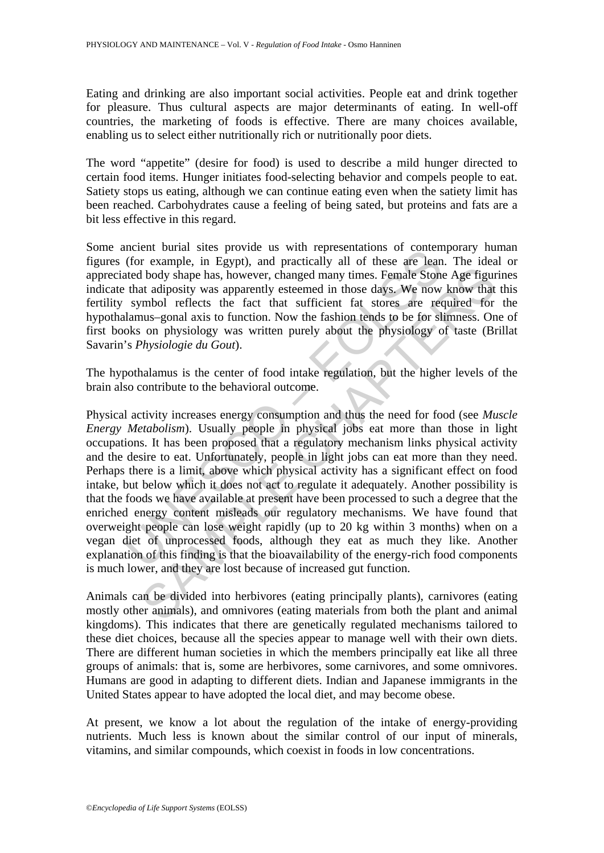Eating and drinking are also important social activities. People eat and drink together for pleasure. Thus cultural aspects are major determinants of eating. In well-off countries, the marketing of foods is effective. There are many choices available, enabling us to select either nutritionally rich or nutritionally poor diets.

The word "appetite" (desire for food) is used to describe a mild hunger directed to certain food items. Hunger initiates food-selecting behavior and compels people to eat. Satiety stops us eating, although we can continue eating even when the satiety limit has been reached. Carbohydrates cause a feeling of being sated, but proteins and fats are a bit less effective in this regard.

Some ancient burial sites provide us with representations of contemporary human figures (for example, in Egypt), and practically all of these are lean. The ideal or appreciated body shape has, however, changed many times. Female Stone Age figurines indicate that adiposity was apparently esteemed in those days. We now know that this fertility symbol reflects the fact that sufficient fat stores are required for the hypothalamus–gonal axis to function. Now the fashion tends to be for slimness. One of first books on physiology was written purely about the physiology of taste (Brillat Savarin's *Physiologie du Gout*).

The hypothalamus is the center of food intake regulation, but the higher levels of the brain also contribute to the behavioral outcome.

mether buran sites provide us will representations of connect<br>(for example, in Egypt), and practically all of these are lean<br>ated body shape has, however, changed many times. Female Stone<br>that adiposity was apparently este If body shape has, however, changed many times. Female Stone Age figurat adiposity was apparently esteemed in those days. We now know that mbol effects the fact that stifficient fat stores are required for any suppose and Physical activity increases energy consumption and thus the need for food (see *Muscle Energy Metabolism*). Usually people in physical jobs eat more than those in light occupations. It has been proposed that a regulatory mechanism links physical activity and the desire to eat. Unfortunately, people in light jobs can eat more than they need. Perhaps there is a limit, above which physical activity has a significant effect on food intake, but below which it does not act to regulate it adequately. Another possibility is that the foods we have available at present have been processed to such a degree that the enriched energy content misleads our regulatory mechanisms. We have found that overweight people can lose weight rapidly (up to 20 kg within 3 months) when on a vegan diet of unprocessed foods, although they eat as much they like. Another explanation of this finding is that the bioavailability of the energy-rich food components is much lower, and they are lost because of increased gut function.

Animals can be divided into herbivores (eating principally plants), carnivores (eating mostly other animals), and omnivores (eating materials from both the plant and animal kingdoms). This indicates that there are genetically regulated mechanisms tailored to these diet choices, because all the species appear to manage well with their own diets. There are different human societies in which the members principally eat like all three groups of animals: that is, some are herbivores, some carnivores, and some omnivores. Humans are good in adapting to different diets. Indian and Japanese immigrants in the United States appear to have adopted the local diet, and may become obese.

At present, we know a lot about the regulation of the intake of energy-providing nutrients. Much less is known about the similar control of our input of minerals, vitamins, and similar compounds, which coexist in foods in low concentrations.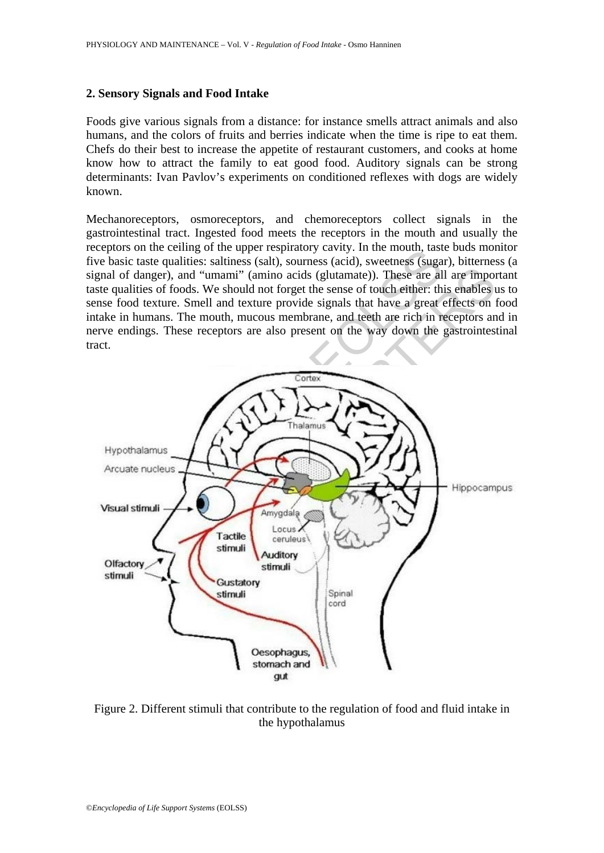## **2. Sensory Signals and Food Intake**

Foods give various signals from a distance: for instance smells attract animals and also humans, and the colors of fruits and berries indicate when the time is ripe to eat them. Chefs do their best to increase the appetite of restaurant customers, and cooks at home know how to attract the family to eat good food. Auditory signals can be strong determinants: Ivan Pavlov's experiments on conditioned reflexes with dogs are widely known.

Mechanoreceptors, osmoreceptors, and chemoreceptors collect signals in the gastrointestinal tract. Ingested food meets the receptors in the mouth and usually the receptors on the ceiling of the upper respiratory cavity. In the mouth, taste buds monitor five basic taste qualities: saltiness (salt), sourness (acid), sweetness (sugar), bitterness (a signal of danger), and "umami" (amino acids (glutamate)). These are all are important taste qualities of foods. We should not forget the sense of touch either: this enables us to sense food texture. Smell and texture provide signals that have a great effects on food intake in humans. The mouth, mucous membrane, and teeth are rich in receptors and in nerve endings. These receptors are also present on the way down the gastrointestinal tract.



Figure 2. Different stimuli that contribute to the regulation of food and fluid intake in the hypothalamus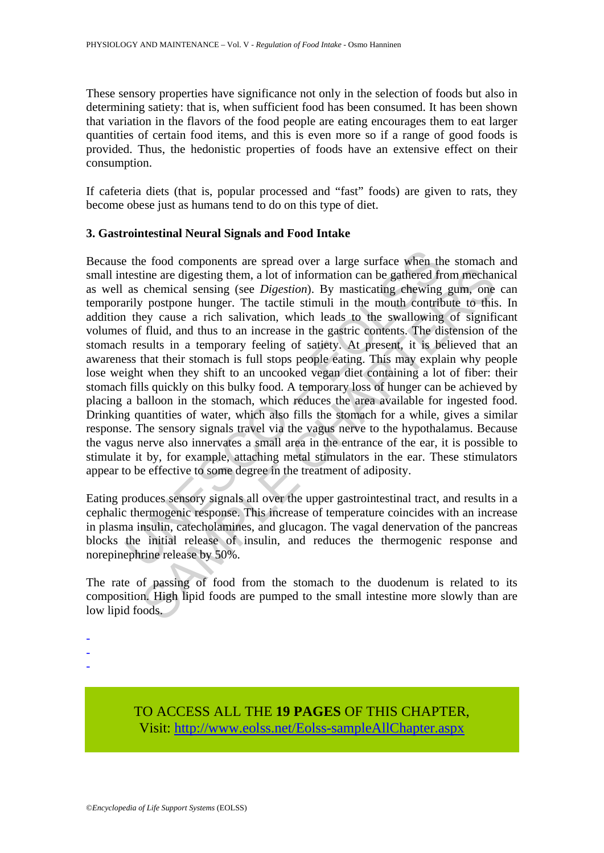These sensory properties have significance not only in the selection of foods but also in determining satiety: that is, when sufficient food has been consumed. It has been shown that variation in the flavors of the food people are eating encourages them to eat larger quantities of certain food items, and this is even more so if a range of good foods is provided. Thus, the hedonistic properties of foods have an extensive effect on their consumption.

If cafeteria diets (that is, popular processed and "fast" foods) are given to rats, they become obese just as humans tend to do on this type of diet.

## **3. Gastrointestinal Neural Signals and Food Intake**

e the food components are spread over a large surface when the testine are digesting them, a lot of information can be gathered fr as chemical sensing (see *Digestion*). By masticating chewing rivily postpone hunger. The t the are digesting them, a lot of information can be gathered from mechanic the are digesting them, a lot of information can be gathered from mechanic chemical sensing (see *Digestion*). By masticating chewing gum, one pos Because the food components are spread over a large surface when the stomach and small intestine are digesting them, a lot of information can be gathered from mechanical as well as chemical sensing (see *Digestion*). By masticating chewing gum, one can temporarily postpone hunger. The tactile stimuli in the mouth contribute to this. In addition they cause a rich salivation, which leads to the swallowing of significant volumes of fluid, and thus to an increase in the gastric contents. The distension of the stomach results in a temporary feeling of satiety. At present, it is believed that an awareness that their stomach is full stops people eating. This may explain why people lose weight when they shift to an uncooked vegan diet containing a lot of fiber: their stomach fills quickly on this bulky food. A temporary loss of hunger can be achieved by placing a balloon in the stomach, which reduces the area available for ingested food. Drinking quantities of water, which also fills the stomach for a while, gives a similar response. The sensory signals travel via the vagus nerve to the hypothalamus. Because the vagus nerve also innervates a small area in the entrance of the ear, it is possible to stimulate it by, for example, attaching metal stimulators in the ear. These stimulators appear to be effective to some degree in the treatment of adiposity.

Eating produces sensory signals all over the upper gastrointestinal tract, and results in a cephalic thermogenic response. This increase of temperature coincides with an increase in plasma insulin, catecholamines, and glucagon. The vagal denervation of the pancreas blocks the initial release of insulin, and reduces the thermogenic response and norepinephrine release by 50%.

The rate of passing of food from the stomach to the duodenum is related to its composition. High lipid foods are pumped to the small intestine more slowly than are low lipid foods.

- -
- -

-

TO ACCESS ALL THE **19 PAGES** OF THIS CHAPTER, Visit[: http://www.eolss.net/Eolss-sampleAllChapter.aspx](https://www.eolss.net/ebooklib/sc_cart.aspx?File=E6-54-09-09)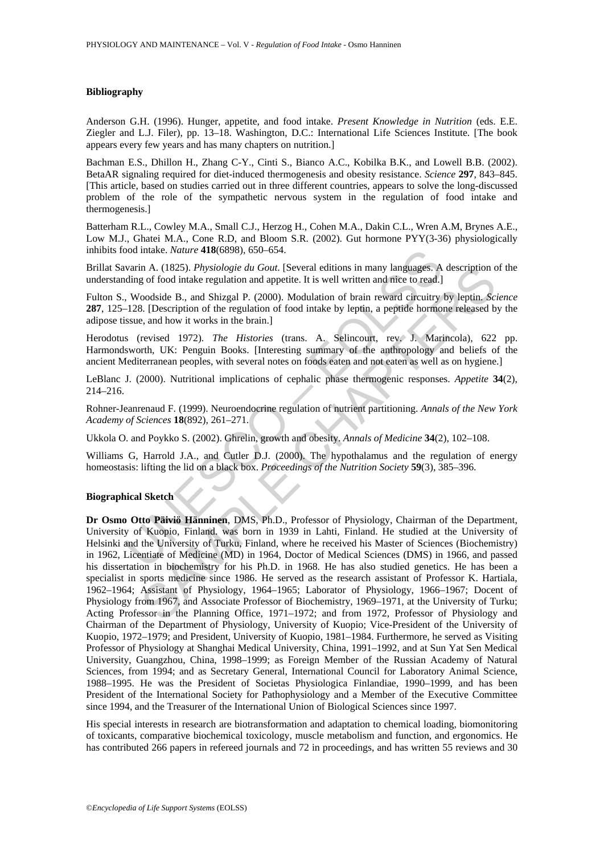#### **Bibliography**

Anderson G.H. (1996). Hunger, appetite, and food intake. *Present Knowledge in Nutrition* (eds. E.E. Ziegler and L.J. Filer), pp. 13–18. Washington, D.C.: International Life Sciences Institute. [The book appears every few years and has many chapters on nutrition.]

Bachman E.S., Dhillon H., Zhang C-Y., Cinti S., Bianco A.C., Kobilka B.K., and Lowell B.B. (2002). BetaAR signaling required for diet-induced thermogenesis and obesity resistance. *Science* **297**, 843–845. [This article, based on studies carried out in three different countries, appears to solve the long-discussed problem of the role of the sympathetic nervous system in the regulation of food intake and thermogenesis.]

Batterham R.L., Cowley M.A., Small C.J., Herzog H., Cohen M.A., Dakin C.L., Wren A.M, Brynes A.E., Low M.J., Ghatei M.A., Cone R.D, and Bloom S.R. (2002). Gut hormone PYY(3-36) physiologically inhibits food intake. *Nature* **418**(6898), 650–654.

Brillat Savarin A. (1825). *Physiologie du Gout*. [Several editions in many languages. A description of the understanding of food intake regulation and appetite. It is well written and nice to read.]

Fulton S., Woodside B., and Shizgal P. (2000). Modulation of brain reward circuitry by leptin. *Science* **287**, 125–128. [Description of the regulation of food intake by leptin, a peptide hormone released by the adipose tissue, and how it works in the brain.]

Herodotus (revised 1972). *The Histories* (trans. A. Selincourt, rev. J. Marincola), 622 pp. Harmondsworth, UK: Penguin Books. [Interesting summary of the anthropology and beliefs of the ancient Mediterranean peoples, with several notes on foods eaten and not eaten as well as on hygiene.]

LeBlanc J. (2000). Nutritional implications of cephalic phase thermogenic responses. *Appetite* **34**(2), 214–216.

Rohner-Jeanrenaud F. (1999). Neuroendocrine regulation of nutrient partitioning. *Annals of the New York Academy of Sciences* **18**(892), 261–271.

Ukkola O. and Poykko S. (2002). Ghrelin, growth and obesity. *Annals of Medicine* **34**(2), 102–108.

Williams G, Harrold J.A., and Cutler D.J. (2000). The hypothalamus and the regulation of energy homeostasis: lifting the lid on a black box. *Proceedings of the Nutrition Society* **59**(3), 385–396.

#### **Biographical Sketch**

ood intake. *Nature* **418**(6898), 650–654.<br>
warin A. (1825). *Physiologie du Gout*. [Several editions in many languages. A<br>
warin A. (1825). *Physiologie du Gout*. [Several editions in many languages. A<br>
woodside B., and In A. (1825). Physiologie du Gout. [Several editions in many languages. A description conditions of go of food intake regulation and appetite. It is well written and rice to read.]<br>
conditions and Shizgal P. (2000). Modula **Dr Osmo Otto Päiviö Hänninen**, DMS, Ph.D., Professor of Physiology, Chairman of the Department, University of Kuopio, Finland. was born in 1939 in Lahti, Finland. He studied at the University of Helsinki and the University of Turku, Finland, where he received his Master of Sciences (Biochemistry) in 1962, Licentiate of Medicine (MD) in 1964, Doctor of Medical Sciences (DMS) in 1966, and passed his dissertation in biochemistry for his Ph.D. in 1968. He has also studied genetics. He has been a specialist in sports medicine since 1986. He served as the research assistant of Professor K. Hartiala, 1962–1964; Assistant of Physiology, 1964–1965; Laborator of Physiology, 1966–1967; Docent of Physiology from 1967, and Associate Professor of Biochemistry, 1969–1971, at the University of Turku; Acting Professor in the Planning Office, 1971–1972; and from 1972, Professor of Physiology and Chairman of the Department of Physiology, University of Kuopio; Vice-President of the University of Kuopio, 1972–1979; and President, University of Kuopio, 1981–1984. Furthermore, he served as Visiting Professor of Physiology at Shanghai Medical University, China, 1991–1992, and at Sun Yat Sen Medical University, Guangzhou, China, 1998–1999; as Foreign Member of the Russian Academy of Natural Sciences, from 1994; and as Secretary General, International Council for Laboratory Animal Science, 1988–1995. He was the President of Societas Physiologica Finlandiae, 1990–1999, and has been President of the International Society for Pathophysiology and a Member of the Executive Committee since 1994, and the Treasurer of the International Union of Biological Sciences since 1997.

His special interests in research are biotransformation and adaptation to chemical loading, biomonitoring of toxicants, comparative biochemical toxicology, muscle metabolism and function, and ergonomics. He has contributed 266 papers in refereed journals and 72 in proceedings, and has written 55 reviews and 30